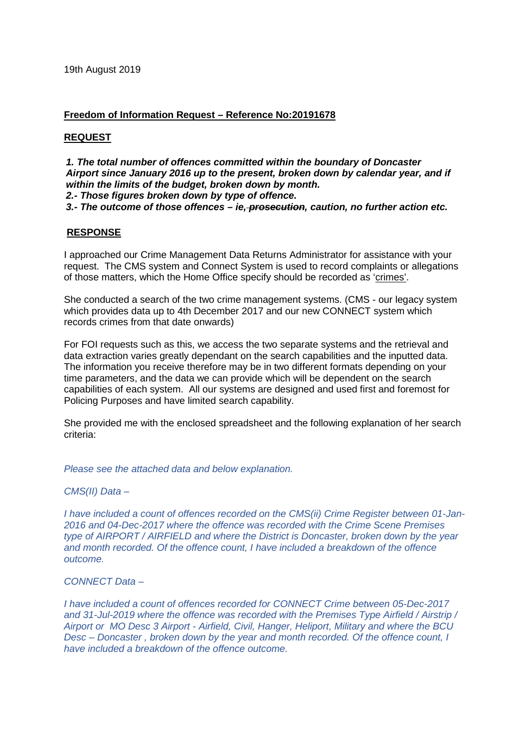## **Freedom of Information Request – Reference No:20191678**

## **REQUEST**

*1. The total number of offences committed within the boundary of Doncaster Airport since January 2016 up to the present, broken down by calendar year, and if within the limits of the budget, broken down by month.* 

*2.- Those figures broken down by type of offence.* 

*3.- The outcome of those offences – ie, prosecution, caution, no further action etc.* 

## **RESPONSE**

I approached our Crime Management Data Returns Administrator for assistance with your request. The CMS system and Connect System is used to record complaints or allegations of those matters, which the Home Office specify should be recorded as 'crimes'.

She conducted a search of the two crime management systems. (CMS - our legacy system which provides data up to 4th December 2017 and our new CONNECT system which records crimes from that date onwards)

For FOI requests such as this, we access the two separate systems and the retrieval and data extraction varies greatly dependant on the search capabilities and the inputted data. The information you receive therefore may be in two different formats depending on your time parameters, and the data we can provide which will be dependent on the search capabilities of each system. All our systems are designed and used first and foremost for Policing Purposes and have limited search capability.

She provided me with the enclosed spreadsheet and the following explanation of her search criteria:

*Please see the attached data and below explanation.*

*CMS(II) Data –*

*I have included a count of offences recorded on the CMS(ii) Crime Register between 01-Jan-2016 and 04-Dec-2017 where the offence was recorded with the Crime Scene Premises type of AIRPORT / AIRFIELD and where the District is Doncaster, broken down by the year and month recorded. Of the offence count, I have included a breakdown of the offence outcome.*

## *CONNECT Data –*

*I have included a count of offences recorded for CONNECT Crime between 05-Dec-2017 and 31-Jul-2019 where the offence was recorded with the Premises Type Airfield / Airstrip / Airport or MO Desc 3 Airport - Airfield, Civil, Hanger, Heliport, Military and where the BCU Desc – Doncaster , broken down by the year and month recorded. Of the offence count, I have included a breakdown of the offence outcome.*